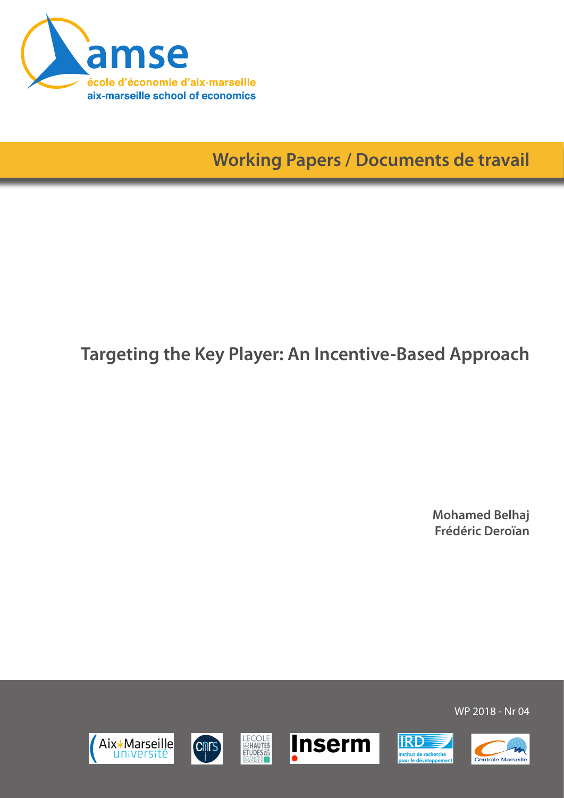

**Working Papers / Documents de travail**

## **Targeting the Key Player: An Incentive-Based Approach**

**Mohamed Belhaj Frédéric Deroïan**













WP 2018 - Nr 04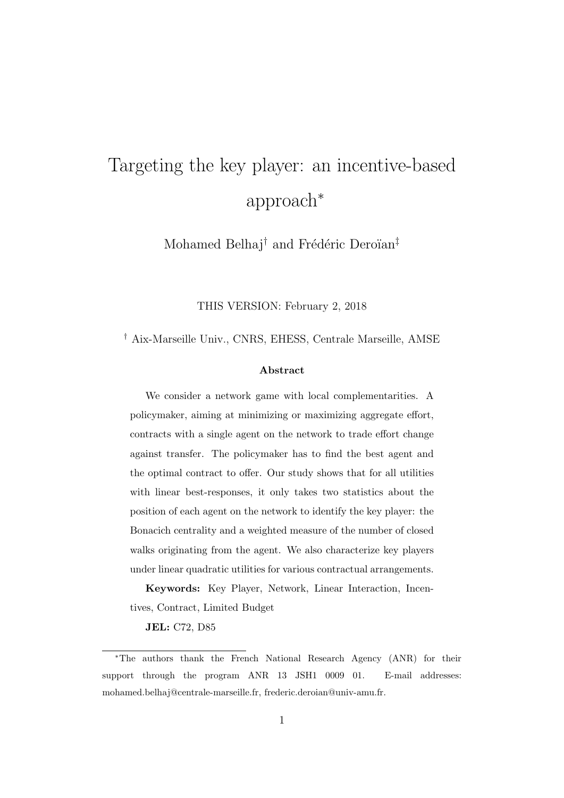# Targeting the key player: an incentive-based approach<sup>∗</sup>

Mohamed Belhaj<sup>†</sup> and Frédéric Deroïan<sup>‡</sup>

THIS VERSION: February 2, 2018

† Aix-Marseille Univ., CNRS, EHESS, Centrale Marseille, AMSE

#### Abstract

We consider a network game with local complementarities. A policymaker, aiming at minimizing or maximizing aggregate effort, contracts with a single agent on the network to trade effort change against transfer. The policymaker has to find the best agent and the optimal contract to offer. Our study shows that for all utilities with linear best-responses, it only takes two statistics about the position of each agent on the network to identify the key player: the Bonacich centrality and a weighted measure of the number of closed walks originating from the agent. We also characterize key players under linear quadratic utilities for various contractual arrangements.

Keywords: Key Player, Network, Linear Interaction, Incentives, Contract, Limited Budget

JEL: C72, D85

<sup>∗</sup>The authors thank the French National Research Agency (ANR) for their support through the program ANR 13 JSH1 0009 01. E-mail addresses: mohamed.belhaj@centrale-marseille.fr, frederic.deroian@univ-amu.fr.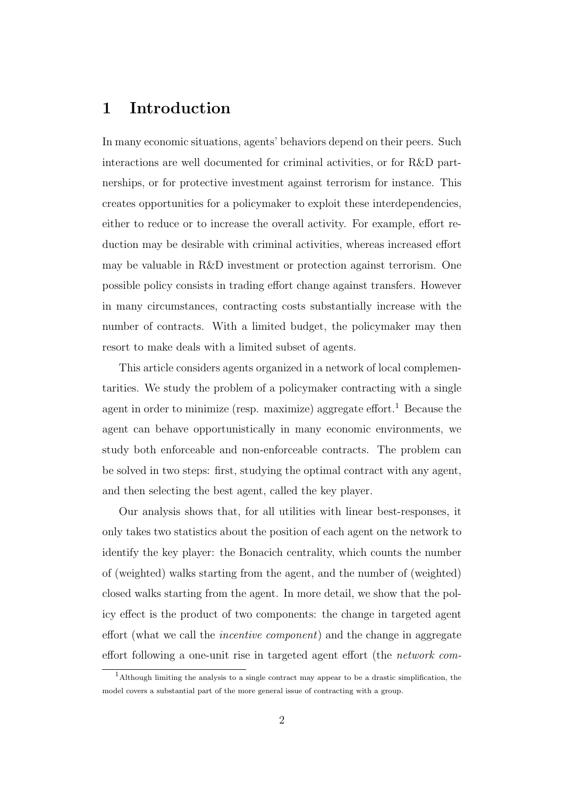## 1 Introduction

In many economic situations, agents' behaviors depend on their peers. Such interactions are well documented for criminal activities, or for R&D partnerships, or for protective investment against terrorism for instance. This creates opportunities for a policymaker to exploit these interdependencies, either to reduce or to increase the overall activity. For example, effort reduction may be desirable with criminal activities, whereas increased effort may be valuable in R&D investment or protection against terrorism. One possible policy consists in trading effort change against transfers. However in many circumstances, contracting costs substantially increase with the number of contracts. With a limited budget, the policymaker may then resort to make deals with a limited subset of agents.

This article considers agents organized in a network of local complementarities. We study the problem of a policymaker contracting with a single agent in order to minimize (resp. maximize) aggregate effort.<sup>1</sup> Because the agent can behave opportunistically in many economic environments, we study both enforceable and non-enforceable contracts. The problem can be solved in two steps: first, studying the optimal contract with any agent, and then selecting the best agent, called the key player.

Our analysis shows that, for all utilities with linear best-responses, it only takes two statistics about the position of each agent on the network to identify the key player: the Bonacich centrality, which counts the number of (weighted) walks starting from the agent, and the number of (weighted) closed walks starting from the agent. In more detail, we show that the policy effect is the product of two components: the change in targeted agent effort (what we call the incentive component) and the change in aggregate effort following a one-unit rise in targeted agent effort (the network com-

<sup>1</sup>Although limiting the analysis to a single contract may appear to be a drastic simplification, the model covers a substantial part of the more general issue of contracting with a group.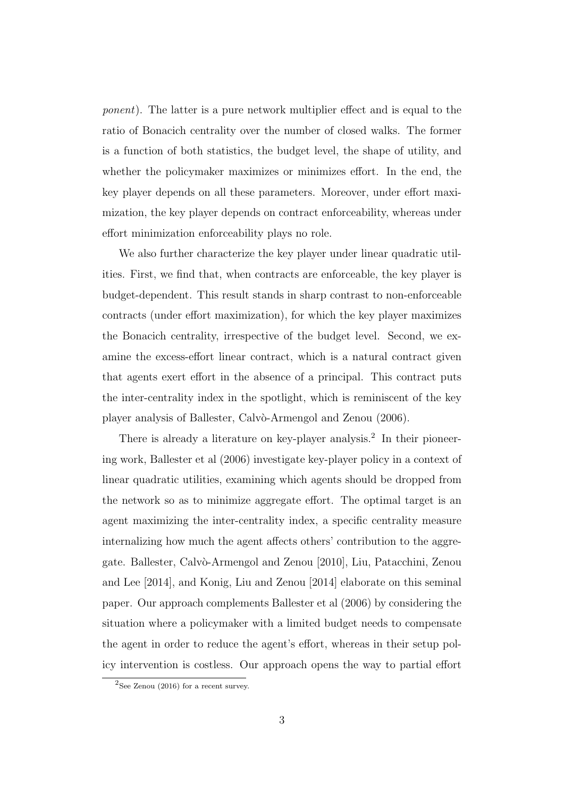ponent). The latter is a pure network multiplier effect and is equal to the ratio of Bonacich centrality over the number of closed walks. The former is a function of both statistics, the budget level, the shape of utility, and whether the policymaker maximizes or minimizes effort. In the end, the key player depends on all these parameters. Moreover, under effort maximization, the key player depends on contract enforceability, whereas under effort minimization enforceability plays no role.

We also further characterize the key player under linear quadratic utilities. First, we find that, when contracts are enforceable, the key player is budget-dependent. This result stands in sharp contrast to non-enforceable contracts (under effort maximization), for which the key player maximizes the Bonacich centrality, irrespective of the budget level. Second, we examine the excess-effort linear contract, which is a natural contract given that agents exert effort in the absence of a principal. This contract puts the inter-centrality index in the spotlight, which is reminiscent of the key player analysis of Ballester, Calvò-Armengol and Zenou (2006).

There is already a literature on key-player analysis.<sup>2</sup> In their pioneering work, Ballester et al (2006) investigate key-player policy in a context of linear quadratic utilities, examining which agents should be dropped from the network so as to minimize aggregate effort. The optimal target is an agent maximizing the inter-centrality index, a specific centrality measure internalizing how much the agent affects others' contribution to the aggregate. Ballester, Calvò-Armengol and Zenou [2010], Liu, Patacchini, Zenou and Lee [2014], and Konig, Liu and Zenou [2014] elaborate on this seminal paper. Our approach complements Ballester et al (2006) by considering the situation where a policymaker with a limited budget needs to compensate the agent in order to reduce the agent's effort, whereas in their setup policy intervention is costless. Our approach opens the way to partial effort

 $2$ See Zenou (2016) for a recent survey.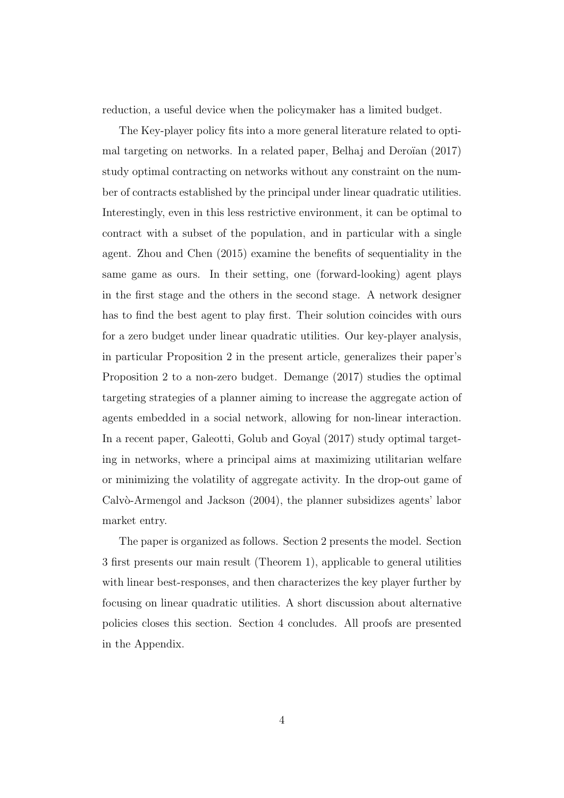reduction, a useful device when the policymaker has a limited budget.

The Key-player policy fits into a more general literature related to optimal targeting on networks. In a related paper, Belhaj and Deroïan  $(2017)$ study optimal contracting on networks without any constraint on the number of contracts established by the principal under linear quadratic utilities. Interestingly, even in this less restrictive environment, it can be optimal to contract with a subset of the population, and in particular with a single agent. Zhou and Chen (2015) examine the benefits of sequentiality in the same game as ours. In their setting, one (forward-looking) agent plays in the first stage and the others in the second stage. A network designer has to find the best agent to play first. Their solution coincides with ours for a zero budget under linear quadratic utilities. Our key-player analysis, in particular Proposition 2 in the present article, generalizes their paper's Proposition 2 to a non-zero budget. Demange (2017) studies the optimal targeting strategies of a planner aiming to increase the aggregate action of agents embedded in a social network, allowing for non-linear interaction. In a recent paper, Galeotti, Golub and Goyal (2017) study optimal targeting in networks, where a principal aims at maximizing utilitarian welfare or minimizing the volatility of aggregate activity. In the drop-out game of  $Calv\`o-Armengol$  and Jackson  $(2004)$ , the planner subsidizes agents' labor market entry.

The paper is organized as follows. Section 2 presents the model. Section 3 first presents our main result (Theorem 1), applicable to general utilities with linear best-responses, and then characterizes the key player further by focusing on linear quadratic utilities. A short discussion about alternative policies closes this section. Section 4 concludes. All proofs are presented in the Appendix.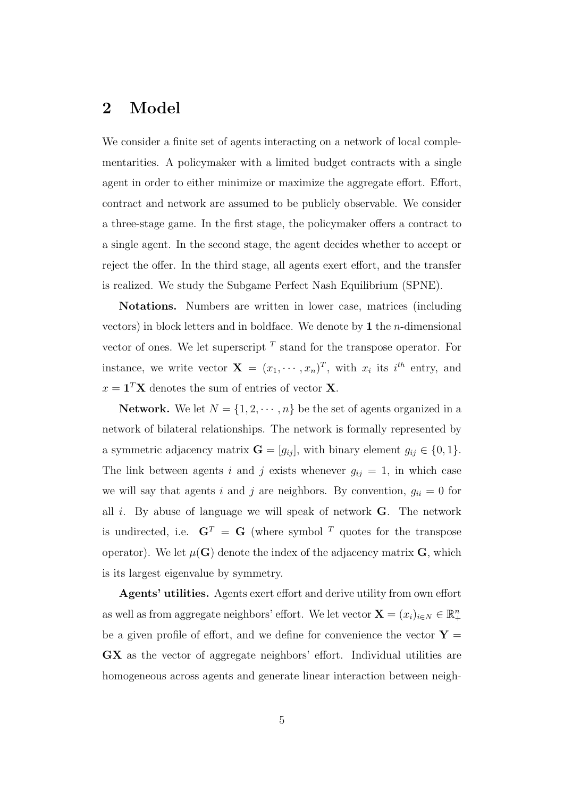## 2 Model

We consider a finite set of agents interacting on a network of local complementarities. A policymaker with a limited budget contracts with a single agent in order to either minimize or maximize the aggregate effort. Effort, contract and network are assumed to be publicly observable. We consider a three-stage game. In the first stage, the policymaker offers a contract to a single agent. In the second stage, the agent decides whether to accept or reject the offer. In the third stage, all agents exert effort, and the transfer is realized. We study the Subgame Perfect Nash Equilibrium (SPNE).

Notations. Numbers are written in lower case, matrices (including vectors) in block letters and in boldface. We denote by 1 the *n*-dimensional vector of ones. We let superscript  $<sup>T</sup>$  stand for the transpose operator. For</sup> instance, we write vector  $\mathbf{X} = (x_1, \dots, x_n)^T$ , with  $x_i$  its  $i^{th}$  entry, and  $x = \mathbf{1}^T \mathbf{X}$  denotes the sum of entries of vector **X**.

**Network.** We let  $N = \{1, 2, \dots, n\}$  be the set of agents organized in a network of bilateral relationships. The network is formally represented by a symmetric adjacency matrix  $\mathbf{G} = [g_{ij}]$ , with binary element  $g_{ij} \in \{0, 1\}$ . The link between agents i and j exists whenever  $g_{ij} = 1$ , in which case we will say that agents i and j are neighbors. By convention,  $g_{ii} = 0$  for all  $i$ . By abuse of language we will speak of network  $G$ . The network is undirected, i.e.  $G<sup>T</sup> = G$  (where symbol <sup>T</sup> quotes for the transpose operator). We let  $\mu(\mathbf{G})$  denote the index of the adjacency matrix  $\mathbf{G}$ , which is its largest eigenvalue by symmetry.

Agents' utilities. Agents exert effort and derive utility from own effort as well as from aggregate neighbors' effort. We let vector  $\mathbf{X} = (x_i)_{i \in N} \in \mathbb{R}^n_+$ be a given profile of effort, and we define for convenience the vector  $\mathbf{Y} =$ GX as the vector of aggregate neighbors' effort. Individual utilities are homogeneous across agents and generate linear interaction between neigh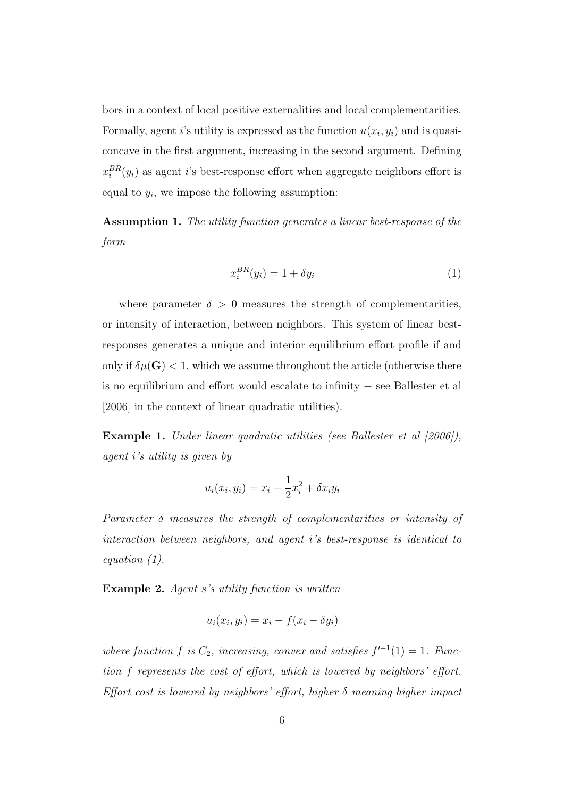bors in a context of local positive externalities and local complementarities. Formally, agent i's utility is expressed as the function  $u(x_i, y_i)$  and is quasiconcave in the first argument, increasing in the second argument. Defining  $x_i^{BR}(y_i)$  as agent *i*'s best-response effort when aggregate neighbors effort is equal to  $y_i$ , we impose the following assumption:

Assumption 1. The utility function generates a linear best-response of the form

$$
x_i^{BR}(y_i) = 1 + \delta y_i \tag{1}
$$

where parameter  $\delta > 0$  measures the strength of complementarities, or intensity of interaction, between neighbors. This system of linear bestresponses generates a unique and interior equilibrium effort profile if and only if  $\delta \mu(\mathbf{G}) < 1$ , which we assume throughout the article (otherwise there is no equilibrium and effort would escalate to infinity − see Ballester et al [2006] in the context of linear quadratic utilities).

Example 1. Under linear quadratic utilities (see Ballester et al  $(2006)$ ), agent i's utility is given by

$$
u_i(x_i, y_i) = x_i - \frac{1}{2}x_i^2 + \delta x_i y_i
$$

Parameter  $\delta$  measures the strength of complementarities or intensity of interaction between neighbors, and agent i's best-response is identical to equation (1).

Example 2. Agent s's utility function is written

$$
u_i(x_i, y_i) = x_i - f(x_i - \delta y_i)
$$

where function f is  $C_2$ , increasing, convex and satisfies  $f^{-1}(1) = 1$ . Function f represents the cost of effort, which is lowered by neighbors' effort. Effort cost is lowered by neighbors' effort, higher  $\delta$  meaning higher impact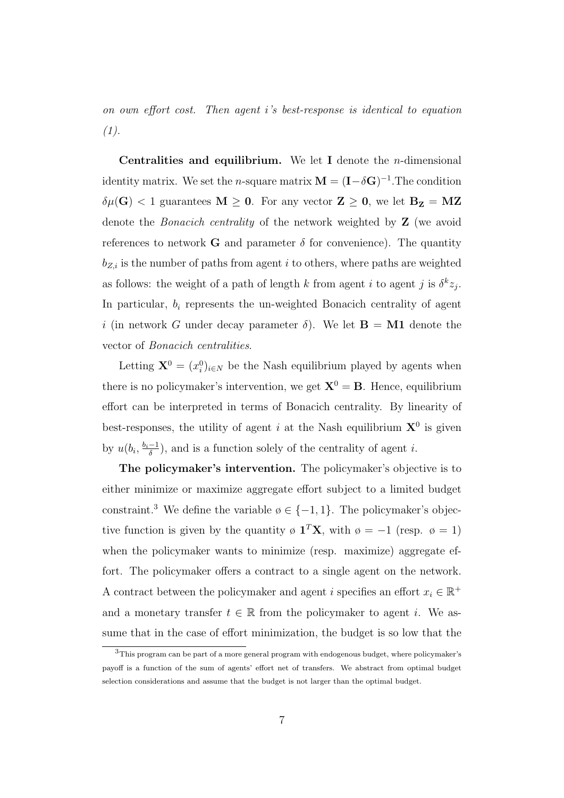on own effort cost. Then agent i's best-response is identical to equation  $(1).$ 

Centralities and equilibrium. We let I denote the *n*-dimensional identity matrix. We set the *n*-square matrix  $\mathbf{M} = (\mathbf{I} - \delta \mathbf{G})^{-1}$ . The condition  $\delta\mu(\mathbf{G})$  < 1 guarantees  $\mathbf{M} \geq 0$ . For any vector  $\mathbf{Z} \geq 0$ , we let  $\mathbf{B}_{\mathbf{Z}} = \mathbf{M}\mathbf{Z}$ denote the Bonacich centrality of the network weighted by Z (we avoid references to network G and parameter  $\delta$  for convenience). The quantity  $b_{Z,i}$  is the number of paths from agent i to others, where paths are weighted as follows: the weight of a path of length k from agent i to agent j is  $\delta^k z_j$ . In particular,  $b_i$  represents the un-weighted Bonacich centrality of agent i (in network G under decay parameter  $\delta$ ). We let **B** = **M1** denote the vector of Bonacich centralities.

Letting  $\mathbf{X}^0 = (x_i^0)_{i \in \mathbb{N}}$  be the Nash equilibrium played by agents when there is no policymaker's intervention, we get  $X^0 = B$ . Hence, equilibrium effort can be interpreted in terms of Bonacich centrality. By linearity of best-responses, the utility of agent i at the Nash equilibrium  $X^0$  is given by  $u(b_i, \frac{b_i-1}{\delta})$  $\frac{-1}{\delta}$ ), and is a function solely of the centrality of agent *i*.

The policymaker's intervention. The policymaker's objective is to either minimize or maximize aggregate effort subject to a limited budget constraint.<sup>3</sup> We define the variable  $\emptyset \in \{-1,1\}$ . The policymaker's objective function is given by the quantity  $\phi \mathbf{1}^T \mathbf{X}$ , with  $\phi = -1$  (resp.  $\phi = 1$ ) when the policymaker wants to minimize (resp. maximize) aggregate effort. The policymaker offers a contract to a single agent on the network. A contract between the policymaker and agent i specifies an effort  $x_i \in \mathbb{R}^+$ and a monetary transfer  $t \in \mathbb{R}$  from the policymaker to agent *i*. We assume that in the case of effort minimization, the budget is so low that the

 $3$ This program can be part of a more general program with endogenous budget, where policymaker's payoff is a function of the sum of agents' effort net of transfers. We abstract from optimal budget selection considerations and assume that the budget is not larger than the optimal budget.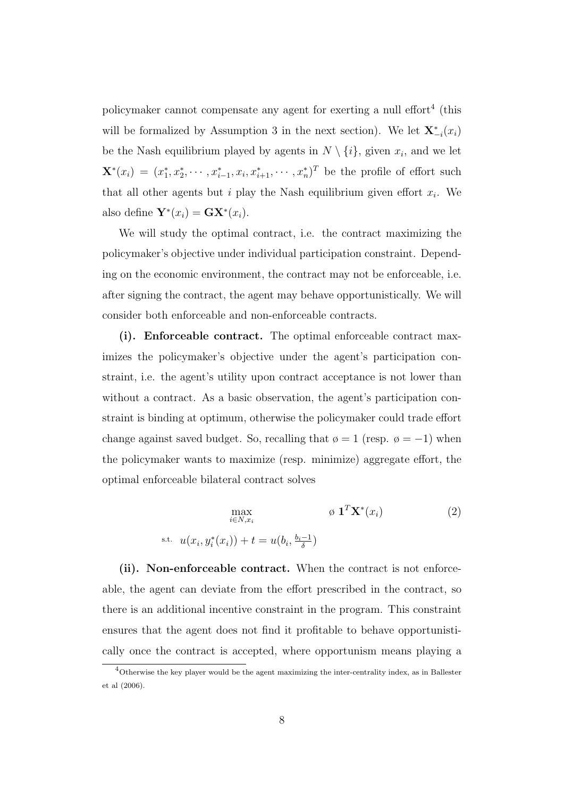policymaker cannot compensate any agent for exerting a null effort<sup>4</sup> (this will be formalized by Assumption 3 in the next section). We let  $\mathbf{X}_{-i}^*(x_i)$ be the Nash equilibrium played by agents in  $N \setminus \{i\}$ , given  $x_i$ , and we let  $\mathbf{X}^*(x_i) = (x_1^*, x_2^*, \cdots, x_{i-1}^*, x_i, x_{i+1}^*, \cdots, x_n^*)^T$  be the profile of effort such that all other agents but i play the Nash equilibrium given effort  $x_i$ . We also define  $\mathbf{Y}^*(x_i) = \mathbf{G}\mathbf{X}^*(x_i)$ .

We will study the optimal contract, i.e. the contract maximizing the policymaker's objective under individual participation constraint. Depending on the economic environment, the contract may not be enforceable, i.e. after signing the contract, the agent may behave opportunistically. We will consider both enforceable and non-enforceable contracts.

(i). Enforceable contract. The optimal enforceable contract maximizes the policymaker's objective under the agent's participation constraint, i.e. the agent's utility upon contract acceptance is not lower than without a contract. As a basic observation, the agent's participation constraint is binding at optimum, otherwise the policymaker could trade effort change against saved budget. So, recalling that  $\phi = 1$  (resp.  $\phi = -1$ ) when the policymaker wants to maximize (resp. minimize) aggregate effort, the optimal enforceable bilateral contract solves

$$
\max_{i \in N, x_i} \qquad \qquad \emptyset \ \mathbf{1}^T \mathbf{X}^*(x_i) \tag{2}
$$
\n
$$
\text{s.t.} \ \ u(x_i, y_i^*(x_i)) + t = u(b_i, \frac{b_i - 1}{\delta})
$$

(ii). Non-enforceable contract. When the contract is not enforceable, the agent can deviate from the effort prescribed in the contract, so there is an additional incentive constraint in the program. This constraint ensures that the agent does not find it profitable to behave opportunistically once the contract is accepted, where opportunism means playing a

<sup>4</sup>Otherwise the key player would be the agent maximizing the inter-centrality index, as in Ballester et al (2006).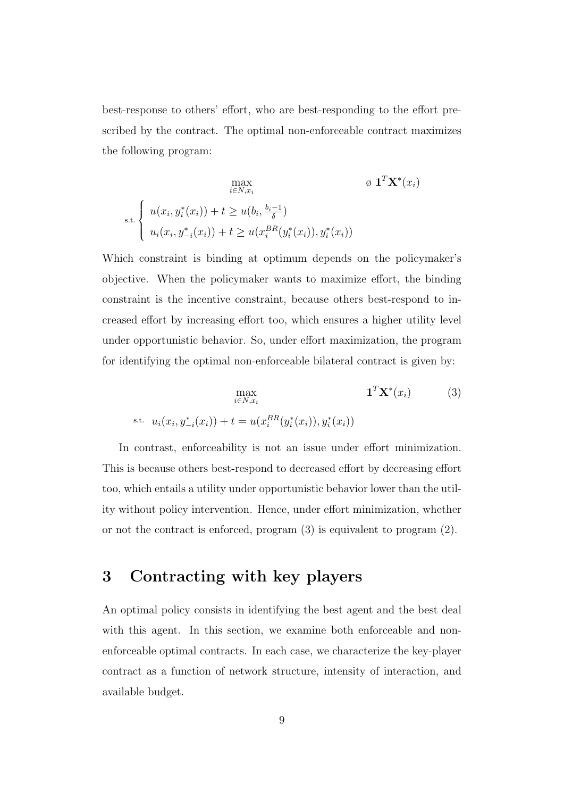best-response to others' effort, who are best-responding to the effort prescribed by the contract. The optimal non-enforceable contract maximizes the following program:

$$
\max_{i \in N, x_i} \qquad \qquad \emptyset \ \mathbf{1}^T \mathbf{X}^*(x_i)
$$
\n
$$
\text{s.t.} \begin{cases} u(x_i, y_i^*(x_i)) + t \ge u(b_i, \frac{b_i - 1}{\delta}) \\ u_i(x_i, y_{-i}^*(x_i)) + t \ge u(x_i^{BR}(y_i^*(x_i)), y_i^*(x_i)) \end{cases}
$$

Which constraint is binding at optimum depends on the policymaker's objective. When the policymaker wants to maximize effort, the binding constraint is the incentive constraint, because others best-respond to increased effort by increasing effort too, which ensures a higher utility level under opportunistic behavior. So, under effort maximization, the program for identifying the optimal non-enforceable bilateral contract is given by:

$$
\max_{i \in N, x_i} \mathbf{1}^T \mathbf{X}^*(x_i)
$$
(3)  
s.t.  $u_i(x_i, y_{-i}^*(x_i)) + t = u(x_i^{BR}(y_i^*(x_i)), y_i^*(x_i))$ 

In contrast, enforceability is not an issue under effort minimization. This is because others best-respond to decreased effort by decreasing effort too, which entails a utility under opportunistic behavior lower than the utility without policy intervention. Hence, under effort minimization, whether or not the contract is enforced, program (3) is equivalent to program (2).

## 3 Contracting with key players

An optimal policy consists in identifying the best agent and the best deal with this agent. In this section, we examine both enforceable and nonenforceable optimal contracts. In each case, we characterize the key-player contract as a function of network structure, intensity of interaction, and available budget.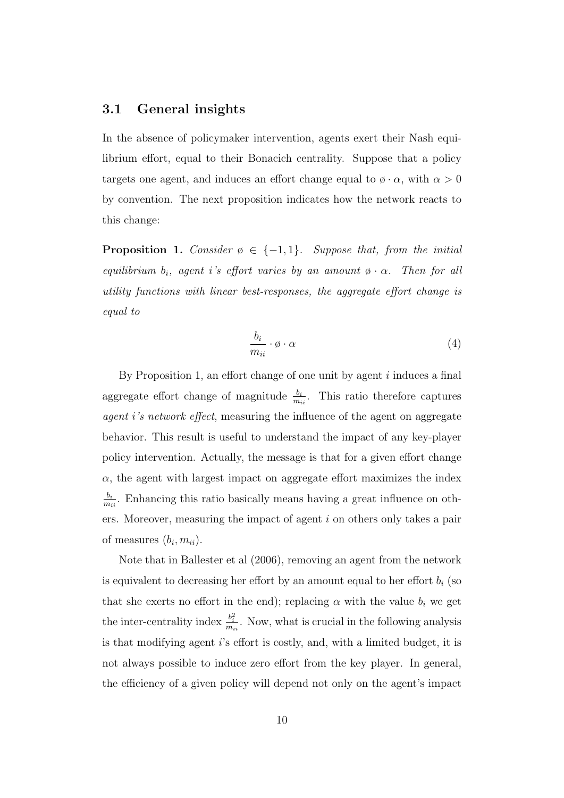#### 3.1 General insights

In the absence of policymaker intervention, agents exert their Nash equilibrium effort, equal to their Bonacich centrality. Suppose that a policy targets one agent, and induces an effort change equal to  $\phi \cdot \alpha$ , with  $\alpha > 0$ by convention. The next proposition indicates how the network reacts to this change:

**Proposition 1.** Consider  $\emptyset \in \{-1,1\}$ . Suppose that, from the initial equilibrium  $b_i$ , agent i's effort varies by an amount  $\phi \cdot \alpha$ . Then for all utility functions with linear best-responses, the aggregate effort change is equal to

$$
\frac{b_i}{m_{ii}} \cdot \phi \cdot \alpha \tag{4}
$$

By Proposition 1, an effort change of one unit by agent  $i$  induces a final aggregate effort change of magnitude  $\frac{b_i}{m_{ii}}$ . This ratio therefore captures agent i's network effect, measuring the influence of the agent on aggregate behavior. This result is useful to understand the impact of any key-player policy intervention. Actually, the message is that for a given effort change  $\alpha$ , the agent with largest impact on aggregate effort maximizes the index  $b_i$  $\frac{b_i}{m_{ii}}$ . Enhancing this ratio basically means having a great influence on others. Moreover, measuring the impact of agent i on others only takes a pair of measures  $(b_i, m_{ii})$ .

Note that in Ballester et al (2006), removing an agent from the network is equivalent to decreasing her effort by an amount equal to her effort  $b_i$  (so that she exerts no effort in the end); replacing  $\alpha$  with the value  $b_i$  we get the inter-centrality index  $\frac{b_i^2}{m_{ii}}$ . Now, what is crucial in the following analysis is that modifying agent i's effort is costly, and, with a limited budget, it is not always possible to induce zero effort from the key player. In general, the efficiency of a given policy will depend not only on the agent's impact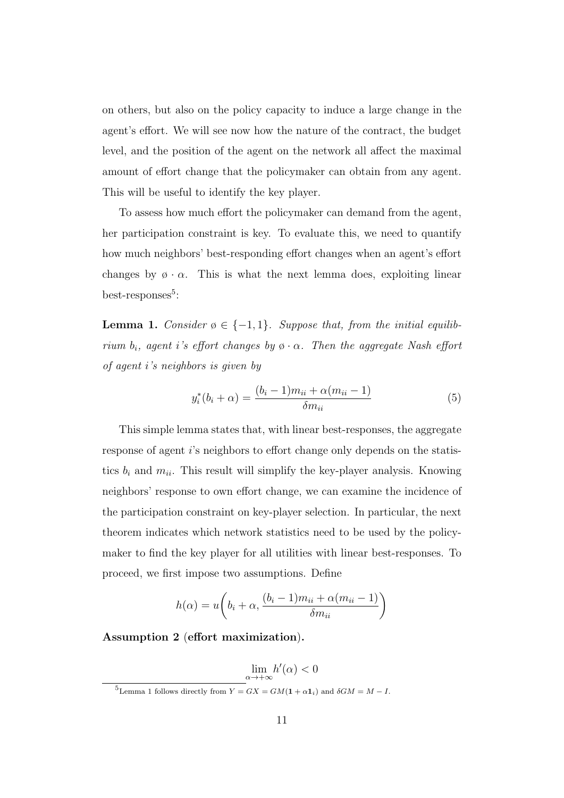on others, but also on the policy capacity to induce a large change in the agent's effort. We will see now how the nature of the contract, the budget level, and the position of the agent on the network all affect the maximal amount of effort change that the policymaker can obtain from any agent. This will be useful to identify the key player.

To assess how much effort the policymaker can demand from the agent, her participation constraint is key. To evaluate this, we need to quantify how much neighbors' best-responding effort changes when an agent's effort changes by  $\phi \cdot \alpha$ . This is what the next lemma does, exploiting linear best-responses<sup>5</sup>:

**Lemma 1.** Consider  $\emptyset \in \{-1,1\}$ . Suppose that, from the initial equilibrium  $b_i$ , agent i's effort changes by  $\emptyset \cdot \alpha$ . Then the aggregate Nash effort of agent i's neighbors is given by

$$
y_i^*(b_i + \alpha) = \frac{(b_i - 1)m_{ii} + \alpha(m_{ii} - 1)}{\delta m_{ii}}
$$
 (5)

This simple lemma states that, with linear best-responses, the aggregate response of agent i's neighbors to effort change only depends on the statistics  $b_i$  and  $m_{ii}$ . This result will simplify the key-player analysis. Knowing neighbors' response to own effort change, we can examine the incidence of the participation constraint on key-player selection. In particular, the next theorem indicates which network statistics need to be used by the policymaker to find the key player for all utilities with linear best-responses. To proceed, we first impose two assumptions. Define

$$
h(\alpha) = u\bigg(b_i + \alpha, \frac{(b_i - 1)m_{ii} + \alpha(m_{ii} - 1)}{\delta m_{ii}}\bigg)
$$

Assumption 2 (effort maximization).

 $\lim_{\alpha \to +\infty} h'(\alpha) < 0$ 

<sup>&</sup>lt;sup>5</sup>Lemma 1 follows directly from  $Y = GX = GM(\mathbf{1} + \alpha \mathbf{1}_i)$  and  $\delta GM = M - I$ .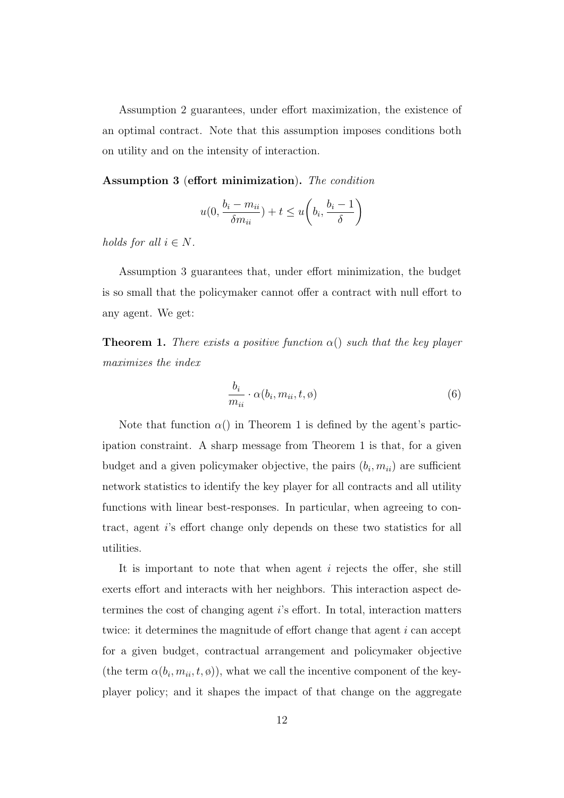Assumption 2 guarantees, under effort maximization, the existence of an optimal contract. Note that this assumption imposes conditions both on utility and on the intensity of interaction.

Assumption 3 (effort minimization). The condition

$$
u(0, \frac{b_i - m_{ii}}{\delta m_{ii}}) + t \le u\left(b_i, \frac{b_i - 1}{\delta}\right)
$$

holds for all  $i \in N$ .

Assumption 3 guarantees that, under effort minimization, the budget is so small that the policymaker cannot offer a contract with null effort to any agent. We get:

**Theorem 1.** There exists a positive function  $\alpha()$  such that the key player maximizes the index

$$
\frac{b_i}{m_{ii}} \cdot \alpha(b_i, m_{ii}, t, \emptyset) \tag{6}
$$

Note that function  $\alpha()$  in Theorem 1 is defined by the agent's participation constraint. A sharp message from Theorem 1 is that, for a given budget and a given policymaker objective, the pairs  $(b_i, m_{ii})$  are sufficient network statistics to identify the key player for all contracts and all utility functions with linear best-responses. In particular, when agreeing to contract, agent i's effort change only depends on these two statistics for all utilities.

It is important to note that when agent  $i$  rejects the offer, she still exerts effort and interacts with her neighbors. This interaction aspect determines the cost of changing agent i's effort. In total, interaction matters twice: it determines the magnitude of effort change that agent  $i$  can accept for a given budget, contractual arrangement and policymaker objective (the term  $\alpha(b_i, m_{ii}, t, \phi)$ ), what we call the incentive component of the keyplayer policy; and it shapes the impact of that change on the aggregate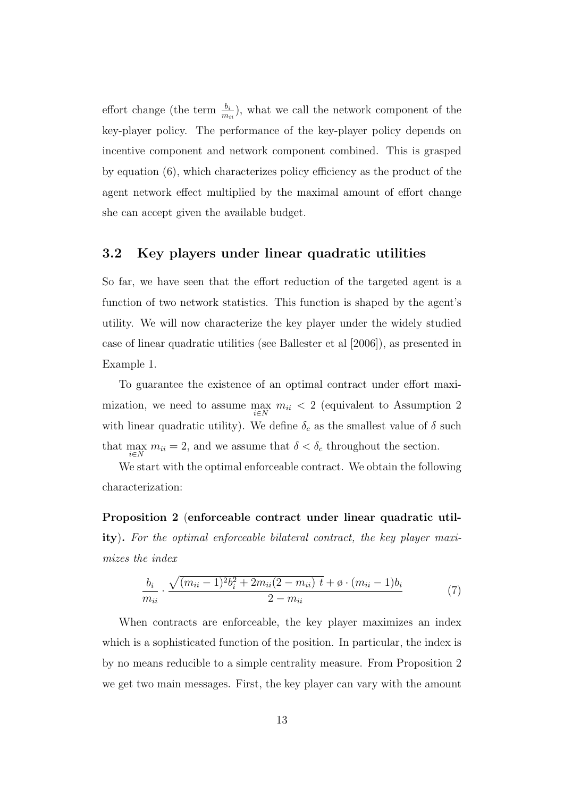effort change (the term  $\frac{b_i}{m_{ii}}$ ), what we call the network component of the key-player policy. The performance of the key-player policy depends on incentive component and network component combined. This is grasped by equation (6), which characterizes policy efficiency as the product of the agent network effect multiplied by the maximal amount of effort change she can accept given the available budget.

#### 3.2 Key players under linear quadratic utilities

So far, we have seen that the effort reduction of the targeted agent is a function of two network statistics. This function is shaped by the agent's utility. We will now characterize the key player under the widely studied case of linear quadratic utilities (see Ballester et al [2006]), as presented in Example 1.

To guarantee the existence of an optimal contract under effort maximization, we need to assume  $\max_{i \in N} m_{ii} < 2$  (equivalent to Assumption 2) with linear quadratic utility). We define  $\delta_c$  as the smallest value of  $\delta$  such that  $\max_{i \in N} m_{ii} = 2$ , and we assume that  $\delta < \delta_c$  throughout the section.

We start with the optimal enforceable contract. We obtain the following characterization:

Proposition 2 (enforceable contract under linear quadratic utility). For the optimal enforceable bilateral contract, the key player maximizes the index

$$
\frac{b_i}{m_{ii}} \cdot \frac{\sqrt{(m_{ii} - 1)^2 b_i^2 + 2m_{ii}(2 - m_{ii}) t + \phi \cdot (m_{ii} - 1)b_i}}{2 - m_{ii}} \tag{7}
$$

When contracts are enforceable, the key player maximizes an index which is a sophisticated function of the position. In particular, the index is by no means reducible to a simple centrality measure. From Proposition 2 we get two main messages. First, the key player can vary with the amount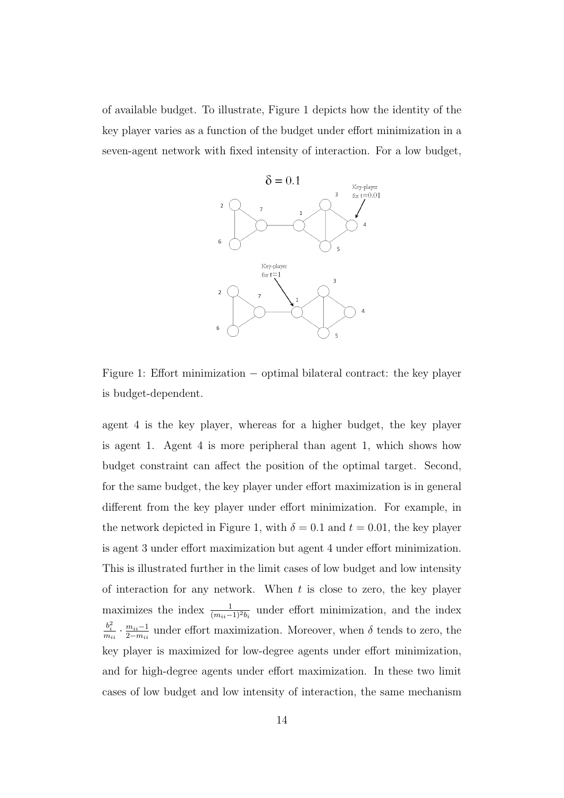of available budget. To illustrate, Figure 1 depicts how the identity of the key player varies as a function of the budget under effort minimization in a seven-agent network with fixed intensity of interaction. For a low budget,



Figure 1: Effort minimization − optimal bilateral contract: the key player is budget-dependent.

agent 4 is the key player, whereas for a higher budget, the key player is agent 1. Agent 4 is more peripheral than agent 1, which shows how budget constraint can affect the position of the optimal target. Second, for the same budget, the key player under effort maximization is in general different from the key player under effort minimization. For example, in the network depicted in Figure 1, with  $\delta = 0.1$  and  $t = 0.01$ , the key player is agent 3 under effort maximization but agent 4 under effort minimization. This is illustrated further in the limit cases of low budget and low intensity of interaction for any network. When  $t$  is close to zero, the key player maximizes the index  $\frac{1}{(m_{ii}-1)^2b_i}$  under effort minimization, and the index  $\frac{b_i^2}{m_{ii}} \cdot \frac{m_{ii}-1}{2-m_{ii}}$  $\frac{m_{ii}-1}{2-m_{ii}}$  under effort maximization. Moreover, when  $\delta$  tends to zero, the key player is maximized for low-degree agents under effort minimization, and for high-degree agents under effort maximization. In these two limit cases of low budget and low intensity of interaction, the same mechanism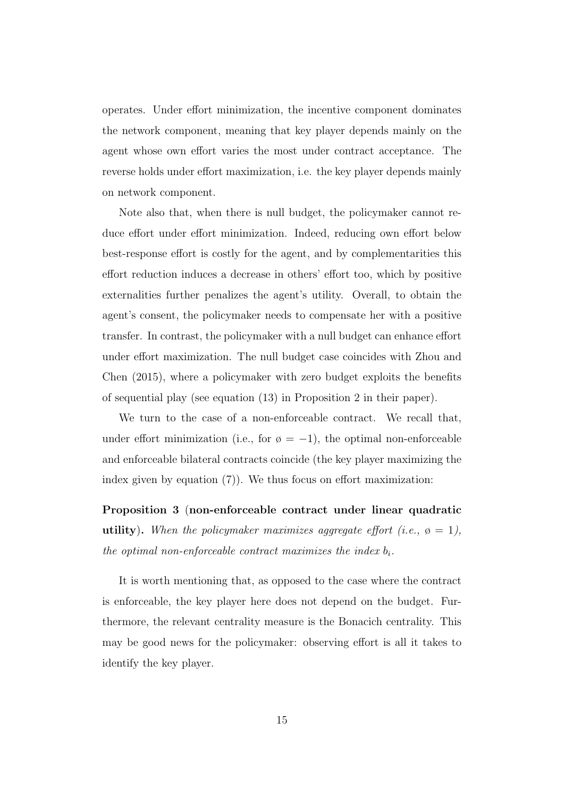operates. Under effort minimization, the incentive component dominates the network component, meaning that key player depends mainly on the agent whose own effort varies the most under contract acceptance. The reverse holds under effort maximization, i.e. the key player depends mainly on network component.

Note also that, when there is null budget, the policymaker cannot reduce effort under effort minimization. Indeed, reducing own effort below best-response effort is costly for the agent, and by complementarities this effort reduction induces a decrease in others' effort too, which by positive externalities further penalizes the agent's utility. Overall, to obtain the agent's consent, the policymaker needs to compensate her with a positive transfer. In contrast, the policymaker with a null budget can enhance effort under effort maximization. The null budget case coincides with Zhou and Chen (2015), where a policymaker with zero budget exploits the benefits of sequential play (see equation (13) in Proposition 2 in their paper).

We turn to the case of a non-enforceable contract. We recall that, under effort minimization (i.e., for  $\varphi = -1$ ), the optimal non-enforceable and enforceable bilateral contracts coincide (the key player maximizing the index given by equation (7)). We thus focus on effort maximization:

Proposition 3 (non-enforceable contract under linear quadratic utility). When the policymaker maximizes aggregate effort (i.e.,  $\varphi = 1$ ), the optimal non-enforceable contract maximizes the index  $b_i$ .

It is worth mentioning that, as opposed to the case where the contract is enforceable, the key player here does not depend on the budget. Furthermore, the relevant centrality measure is the Bonacich centrality. This may be good news for the policymaker: observing effort is all it takes to identify the key player.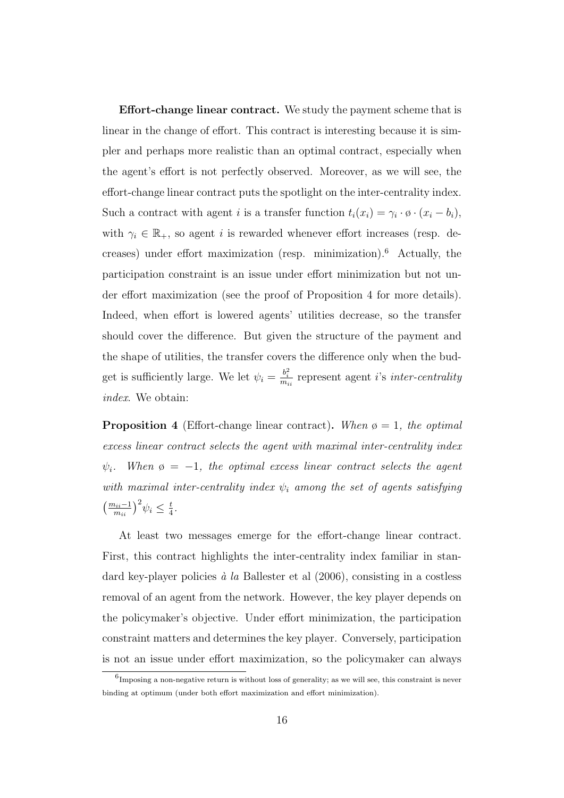Effort-change linear contract. We study the payment scheme that is linear in the change of effort. This contract is interesting because it is simpler and perhaps more realistic than an optimal contract, especially when the agent's effort is not perfectly observed. Moreover, as we will see, the effort-change linear contract puts the spotlight on the inter-centrality index. Such a contract with agent *i* is a transfer function  $t_i(x_i) = \gamma_i \cdot \emptyset \cdot (x_i - b_i)$ , with  $\gamma_i \in \mathbb{R}_+$ , so agent i is rewarded whenever effort increases (resp. decreases) under effort maximization (resp. minimization).<sup>6</sup> Actually, the participation constraint is an issue under effort minimization but not under effort maximization (see the proof of Proposition 4 for more details). Indeed, when effort is lowered agents' utilities decrease, so the transfer should cover the difference. But given the structure of the payment and the shape of utilities, the transfer covers the difference only when the budget is sufficiently large. We let  $\psi_i = \frac{b_i^2}{m_{ii}}$  represent agent *i*'s *inter-centrality* index. We obtain:

**Proposition 4** (Effort-change linear contract). When  $\varphi = 1$ , the optimal excess linear contract selects the agent with maximal inter-centrality index When  $\varphi = -1$ , the optimal excess linear contract selects the agent with maximal inter-centrality index  $\psi_i$  among the set of agents satisfying  $\left(\frac{m_{ii}-1}{m_{ii}}\right)^2 \psi_i \leq \frac{t}{4}$  $\frac{t}{4}$ .

At least two messages emerge for the effort-change linear contract. First, this contract highlights the inter-centrality index familiar in standard key-player policies  $\dot{a}$  la Ballester et al (2006), consisting in a costless removal of an agent from the network. However, the key player depends on the policymaker's objective. Under effort minimization, the participation constraint matters and determines the key player. Conversely, participation is not an issue under effort maximization, so the policymaker can always

 ${}^{6}$ Imposing a non-negative return is without loss of generality; as we will see, this constraint is never binding at optimum (under both effort maximization and effort minimization).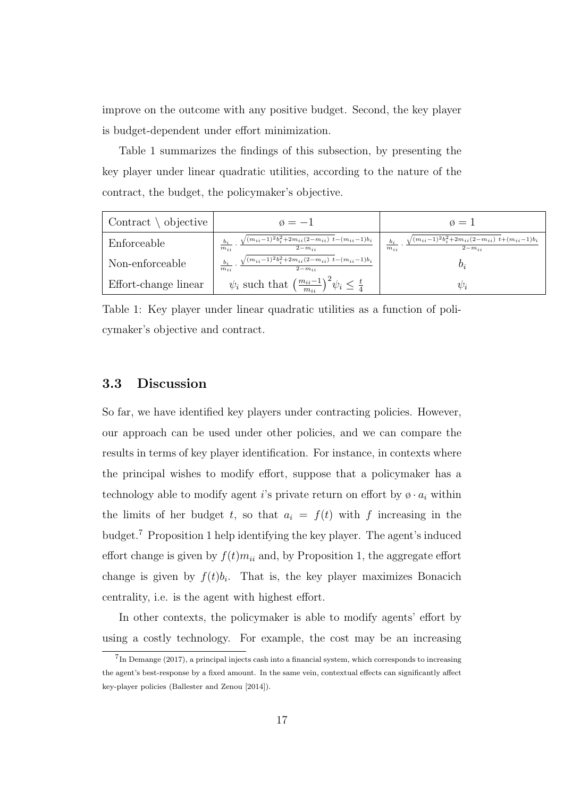improve on the outcome with any positive budget. Second, the key player is budget-dependent under effort minimization.

Table 1 summarizes the findings of this subsection, by presenting the key player under linear quadratic utilities, according to the nature of the contract, the budget, the policymaker's objective.

| Contract $\setminus$ objective | $\emptyset = -1$                                                                                  | $\emptyset =$                                                                               |  |
|--------------------------------|---------------------------------------------------------------------------------------------------|---------------------------------------------------------------------------------------------|--|
| Enforceable                    | $\sqrt{(m_{ii}-1)^2 b_i^2 + 2m_{ii}(2-m_{ii}) t - (m_{ii}-1)b_i}$<br>$2-m_{ii}$<br>$m_{ii}$       | $\sqrt{(m_{ii}-1)^2 b_i^2 + 2m_{ii}(2-m_{ii}) t + (m_{ii}-1)b_i}$<br>$2-m_{ii}$<br>$m_{ii}$ |  |
| Non-enforceable                | $b_i \qquad \sqrt{(m_{ii}-1)^2b_i^2+2m_{ii}(2-m_{ii})^2+(m_{ii}-1)b_i}$<br>$2-m_{ii}$<br>$m_{ii}$ | 0.                                                                                          |  |
| Effort-change linear           | $\psi_i$ such that $\left(\frac{m_{ii}-1}{m_{ii}}\right)^2 \psi_i \leq \frac{t}{4}$               | $\psi_i$                                                                                    |  |

Table 1: Key player under linear quadratic utilities as a function of policymaker's objective and contract.

#### 3.3 Discussion

So far, we have identified key players under contracting policies. However, our approach can be used under other policies, and we can compare the results in terms of key player identification. For instance, in contexts where the principal wishes to modify effort, suppose that a policymaker has a technology able to modify agent i's private return on effort by  $\phi \cdot a_i$  within the limits of her budget t, so that  $a_i = f(t)$  with f increasing in the budget.<sup>7</sup> Proposition 1 help identifying the key player. The agent's induced effort change is given by  $f(t)m_{ii}$  and, by Proposition 1, the aggregate effort change is given by  $f(t)b_i$ . That is, the key player maximizes Bonacich centrality, i.e. is the agent with highest effort.

In other contexts, the policymaker is able to modify agents' effort by using a costly technology. For example, the cost may be an increasing

<sup>&</sup>lt;sup>7</sup>In Demange (2017), a principal injects cash into a financial system, which corresponds to increasing the agent's best-response by a fixed amount. In the same vein, contextual effects can significantly affect key-player policies (Ballester and Zenou [2014]).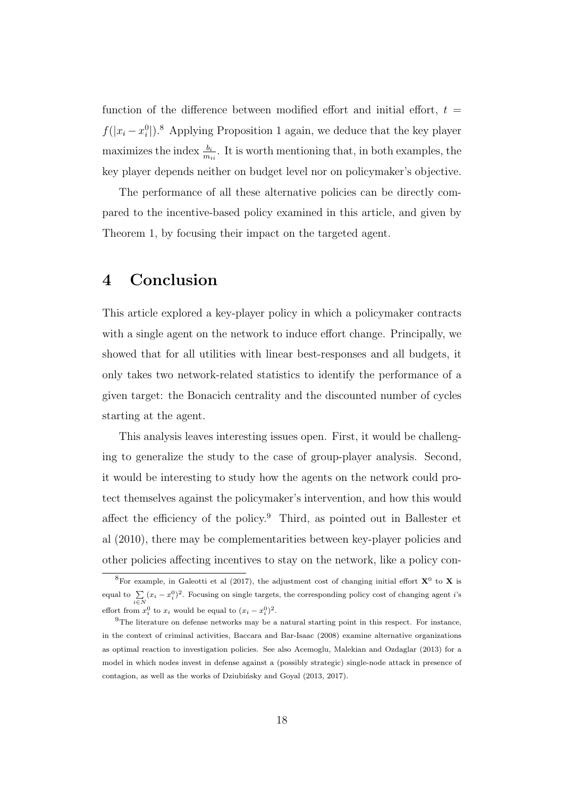function of the difference between modified effort and initial effort,  $t =$  $f(|x_i - x_i^0|).$ <sup>8</sup> Applying Proposition 1 again, we deduce that the key player maximizes the index  $\frac{b_i}{m_{ii}}$ . It is worth mentioning that, in both examples, the key player depends neither on budget level nor on policymaker's objective.

The performance of all these alternative policies can be directly compared to the incentive-based policy examined in this article, and given by Theorem 1, by focusing their impact on the targeted agent.

## 4 Conclusion

This article explored a key-player policy in which a policymaker contracts with a single agent on the network to induce effort change. Principally, we showed that for all utilities with linear best-responses and all budgets, it only takes two network-related statistics to identify the performance of a given target: the Bonacich centrality and the discounted number of cycles starting at the agent.

This analysis leaves interesting issues open. First, it would be challenging to generalize the study to the case of group-player analysis. Second, it would be interesting to study how the agents on the network could protect themselves against the policymaker's intervention, and how this would affect the efficiency of the policy.<sup>9</sup> Third, as pointed out in Ballester et al (2010), there may be complementarities between key-player policies and other policies affecting incentives to stay on the network, like a policy con-

<sup>&</sup>lt;sup>8</sup>For example, in Galeotti et al (2017), the adjustment cost of changing initial effort  $X^0$  to X is equal to  $\sum_{i\in N} (x_i - x_i^0)^2$ . Focusing on single targets, the corresponding policy cost of changing agent *i*'s effort from  $x_i^0$  to  $x_i$  would be equal to  $(x_i - x_i^0)^2$ .

 $9$ The literature on defense networks may be a natural starting point in this respect. For instance, in the context of criminal activities, Baccara and Bar-Isaac (2008) examine alternative organizations as optimal reaction to investigation policies. See also Acemoglu, Malekian and Ozdaglar (2013) for a model in which nodes invest in defense against a (possibly strategic) single-node attack in presence of contagion, as well as the works of Dziubińsky and Goyal  $(2013, 2017)$ .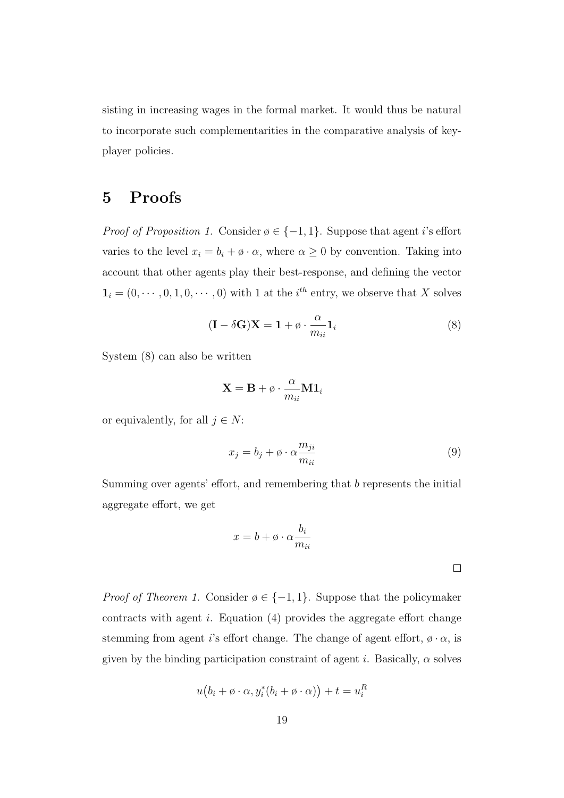sisting in increasing wages in the formal market. It would thus be natural to incorporate such complementarities in the comparative analysis of keyplayer policies.

## 5 Proofs

*Proof of Proposition 1.* Consider  $\emptyset \in \{-1, 1\}$ . Suppose that agent *i*'s effort varies to the level  $x_i = b_i + \varphi \cdot \alpha$ , where  $\alpha \geq 0$  by convention. Taking into account that other agents play their best-response, and defining the vector  $\mathbf{1}_i = (0, \cdots, 0, 1, 0, \cdots, 0)$  with 1 at the  $i^{th}$  entry, we observe that X solves

$$
(\mathbf{I} - \delta \mathbf{G})\mathbf{X} = \mathbf{1} + \emptyset \cdot \frac{\alpha}{m_{ii}} \mathbf{1}_i
$$
\n(8)

System (8) can also be written

$$
\mathbf{X} = \mathbf{B} + \emptyset \cdot \frac{\alpha}{m_{ii}} \mathbf{M} \mathbf{1}_i
$$

or equivalently, for all  $j \in N$ :

$$
x_j = b_j + \varphi \cdot \alpha \frac{m_{ji}}{m_{ii}} \tag{9}
$$

Summing over agents' effort, and remembering that b represents the initial aggregate effort, we get

$$
x = b + \emptyset \cdot \alpha \frac{b_i}{m_{ii}}
$$

*Proof of Theorem 1.* Consider  $\emptyset \in \{-1,1\}$ . Suppose that the policymaker contracts with agent  $i$ . Equation  $(4)$  provides the aggregate effort change stemming from agent i's effort change. The change of agent effort,  $\phi \cdot \alpha$ , is given by the binding participation constraint of agent i. Basically,  $\alpha$  solves

$$
u(b_i + \varphi \cdot \alpha, y_i^*(b_i + \varphi \cdot \alpha)) + t = u_i^R
$$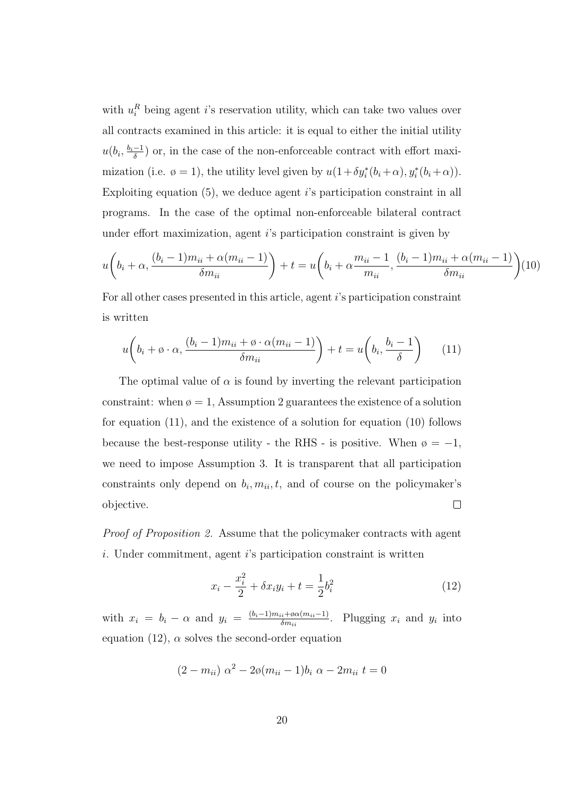with  $u_i^R$  being agent *i*'s reservation utility, which can take two values over all contracts examined in this article: it is equal to either the initial utility  $u(b_i, \frac{b_i-1}{\delta})$  $\frac{-1}{\delta}$  or, in the case of the non-enforceable contract with effort maximization (i.e.  $\varphi = 1$ ), the utility level given by  $u(1 + \delta y_i^*(b_i + \alpha), y_i^*(b_i + \alpha)).$ Exploiting equation  $(5)$ , we deduce agent is participation constraint in all programs. In the case of the optimal non-enforceable bilateral contract under effort maximization, agent i's participation constraint is given by

$$
u\left(b_i + \alpha, \frac{(b_i - 1)m_{ii} + \alpha(m_{ii} - 1)}{\delta m_{ii}}\right) + t = u\left(b_i + \alpha \frac{m_{ii} - 1}{m_{ii}}, \frac{(b_i - 1)m_{ii} + \alpha(m_{ii} - 1)}{\delta m_{ii}}\right)
$$
(10)

For all other cases presented in this article, agent i's participation constraint is written

$$
u\left(b_i + \phi \cdot \alpha, \frac{(b_i - 1)m_{ii} + \phi \cdot \alpha(m_{ii} - 1)}{\delta m_{ii}}\right) + t = u\left(b_i, \frac{b_i - 1}{\delta}\right) \tag{11}
$$

The optimal value of  $\alpha$  is found by inverting the relevant participation constraint: when  $\varphi = 1$ , Assumption 2 guarantees the existence of a solution for equation (11), and the existence of a solution for equation (10) follows because the best-response utility - the RHS - is positive. When  $\varphi = -1$ , we need to impose Assumption 3. It is transparent that all participation constraints only depend on  $b_i, m_{ii}, t$ , and of course on the policymaker's objective.  $\Box$ 

Proof of Proposition 2. Assume that the policymaker contracts with agent i. Under commitment, agent i's participation constraint is written

$$
x_i - \frac{x_i^2}{2} + \delta x_i y_i + t = \frac{1}{2} b_i^2 \tag{12}
$$

with  $x_i = b_i - \alpha$  and  $y_i = \frac{(b_i-1)m_{ii} + \alpha\alpha(m_{ii}-1)}{\delta m_{ii}}$  $\frac{i\sin\theta\alpha(m_{ii}-1)}{\delta m_{ii}}$ . Plugging  $x_i$  and  $y_i$  into equation (12),  $\alpha$  solves the second-order equation

$$
(2 - m_{ii}) \alpha^{2} - 2\phi(m_{ii} - 1)b_{i} \alpha - 2m_{ii} t = 0
$$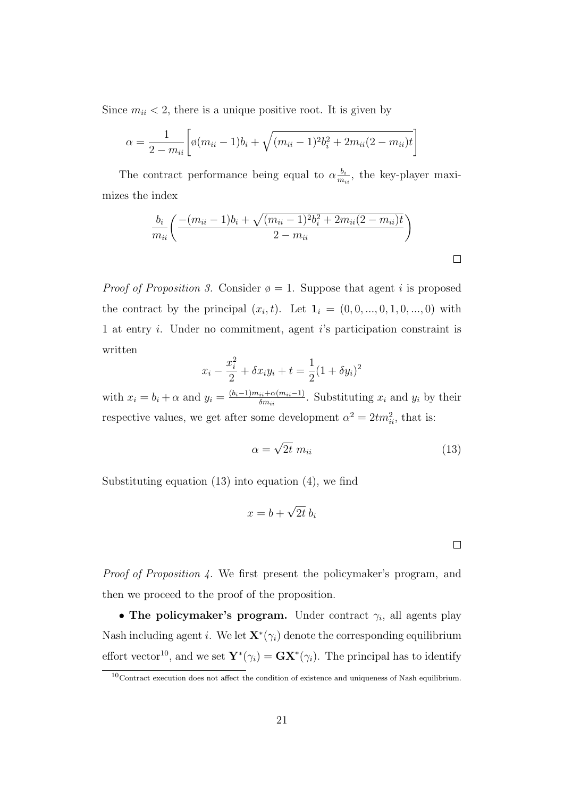Since  $m_{ii}$  < 2, there is a unique positive root. It is given by

$$
\alpha = \frac{1}{2 - m_{ii}} \bigg[ \phi(m_{ii} - 1)b_i + \sqrt{(m_{ii} - 1)^2 b_i^2 + 2m_{ii}(2 - m_{ii})t} \bigg]
$$

The contract performance being equal to  $\alpha \frac{b_i}{m}$  $\frac{b_i}{m_{ii}}$ , the key-player maximizes the index

$$
\frac{b_i}{m_{ii}} \left( \frac{-(m_{ii} - 1)b_i + \sqrt{(m_{ii} - 1)^2 b_i^2 + 2m_{ii}(2 - m_{ii})t}}{2 - m_{ii}} \right)
$$

*Proof of Proposition 3.* Consider  $\varphi = 1$ . Suppose that agent i is proposed the contract by the principal  $(x_i, t)$ . Let  $\mathbf{1}_i = (0, 0, ..., 0, 1, 0, ..., 0)$  with 1 at entry i. Under no commitment, agent i's participation constraint is written

$$
x_i - \frac{x_i^2}{2} + \delta x_i y_i + t = \frac{1}{2} (1 + \delta y_i)^2
$$

with  $x_i = b_i + \alpha$  and  $y_i = \frac{(b_i-1)m_{ii}+\alpha(m_{ii}-1)}{\delta m_{ii}}$  $\frac{i}{\delta m_{ii}} \frac{m_{ii} - 1}{m_{ii}}$ . Substituting  $x_i$  and  $y_i$  by their respective values, we get after some development  $\alpha^2 = 2tm_{ii}^2$ , that is:

$$
\alpha = \sqrt{2t} \ m_{ii} \tag{13}
$$

Substituting equation (13) into equation (4), we find

$$
x = b + \sqrt{2t} b_i
$$

 $\Box$ 

Proof of Proposition 4. We first present the policymaker's program, and then we proceed to the proof of the proposition.

• The policymaker's program. Under contract  $\gamma_i$ , all agents play Nash including agent *i*. We let  $\mathbf{X}^*(\gamma_i)$  denote the corresponding equilibrium effort vector<sup>10</sup>, and we set  $\mathbf{Y}^*(\gamma_i) = \mathbf{G}\mathbf{X}^*(\gamma_i)$ . The principal has to identify

 $10$ Contract execution does not affect the condition of existence and uniqueness of Nash equilibrium.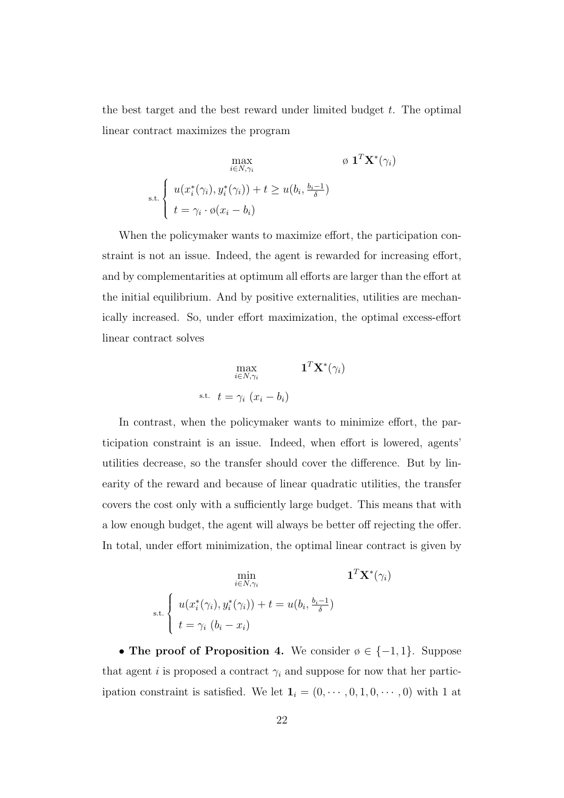the best target and the best reward under limited budget  $t$ . The optimal linear contract maximizes the program

$$
\max_{i \in N, \gamma_i} \qquad \qquad \varnothing \ \mathbf{1}^T \mathbf{X}^*(\gamma_i)
$$
\n
$$
\text{s.t.} \begin{cases} u(x_i^*(\gamma_i), y_i^*(\gamma_i)) + t \ge u(b_i, \frac{b_i - 1}{\delta}) \\ t = \gamma_i \cdot \varnothing(x_i - b_i) \end{cases}
$$

When the policymaker wants to maximize effort, the participation constraint is not an issue. Indeed, the agent is rewarded for increasing effort, and by complementarities at optimum all efforts are larger than the effort at the initial equilibrium. And by positive externalities, utilities are mechanically increased. So, under effort maximization, the optimal excess-effort linear contract solves

$$
\max_{i \in N, \gamma_i} \qquad \qquad \mathbf{1}^T \mathbf{X}^*(\gamma_i)
$$
\n
$$
\text{s.t.} \quad t = \gamma_i \ (x_i - b_i)
$$

In contrast, when the policymaker wants to minimize effort, the participation constraint is an issue. Indeed, when effort is lowered, agents' utilities decrease, so the transfer should cover the difference. But by linearity of the reward and because of linear quadratic utilities, the transfer covers the cost only with a sufficiently large budget. This means that with a low enough budget, the agent will always be better off rejecting the offer. In total, under effort minimization, the optimal linear contract is given by

$$
\min_{i \in N, \gamma_i} \qquad \qquad \mathbf{1}^T \mathbf{X}^*(\gamma_i)
$$
\n
$$
\text{s.t.} \begin{cases} u(x_i^*(\gamma_i), y_i^*(\gamma_i)) + t = u(b_i, \frac{b_i - 1}{\delta}) \\ t = \gamma_i \ (b_i - x_i) \end{cases}
$$

• The proof of Proposition 4. We consider  $\emptyset \in \{-1,1\}$ . Suppose that agent i is proposed a contract  $\gamma_i$  and suppose for now that her participation constraint is satisfied. We let  $\mathbf{1}_i = (0, \cdots, 0, 1, 0, \cdots, 0)$  with 1 at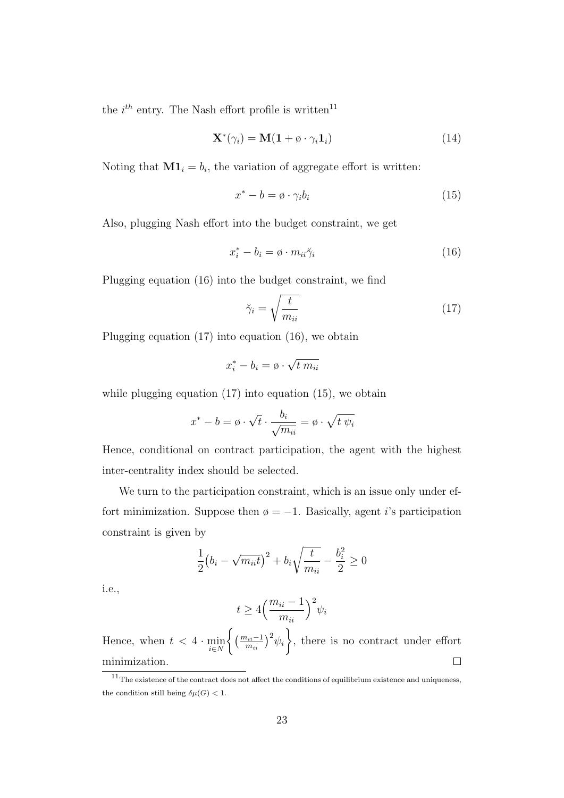the  $i^{th}$  entry. The Nash effort profile is written<sup>11</sup>

$$
\mathbf{X}^*(\gamma_i) = \mathbf{M}(\mathbf{1} + \emptyset \cdot \gamma_i \mathbf{1}_i) \tag{14}
$$

Noting that  $M1_i = b_i$ , the variation of aggregate effort is written:

$$
x^* - b = \emptyset \cdot \gamma_i b_i \tag{15}
$$

Also, plugging Nash effort into the budget constraint, we get

$$
x_i^* - b_i = \emptyset \cdot m_{ii} \tilde{\gamma}_i \tag{16}
$$

Plugging equation (16) into the budget constraint, we find

$$
\breve{\gamma}_i = \sqrt{\frac{t}{m_{ii}}} \tag{17}
$$

Plugging equation (17) into equation (16), we obtain

$$
x_i^* - b_i = \emptyset \cdot \sqrt{t \, m_{ii}}
$$

while plugging equation (17) into equation (15), we obtain

$$
x^* - b = \emptyset \cdot \sqrt{t} \cdot \frac{b_i}{\sqrt{m_{ii}}} = \emptyset \cdot \sqrt{t \psi_i}
$$

Hence, conditional on contract participation, the agent with the highest inter-centrality index should be selected.

We turn to the participation constraint, which is an issue only under effort minimization. Suppose then  $\varphi = -1$ . Basically, agent *i*'s participation constraint is given by

$$
\frac{1}{2}(b_i - \sqrt{m_{ii}t})^2 + b_i \sqrt{\frac{t}{m_{ii}}} - \frac{b_i^2}{2} \ge 0
$$

i.e.,

$$
t \ge 4\Big(\frac{m_{ii} - 1}{m_{ii}}\Big)^2 \psi_i
$$

 $\bigg\{\left(\frac{m_{ii}-1}{m_{ii}}\right)^2\psi_i$  $\mathcal{L}$ Hence, when  $t < 4 \cdot \min_{i \in N}$ , there is no contract under effort minimization.  $\Box$ 

 $11$ The existence of the contract does not affect the conditions of equilibrium existence and uniqueness, the condition still being  $\delta \mu(G) < 1$ .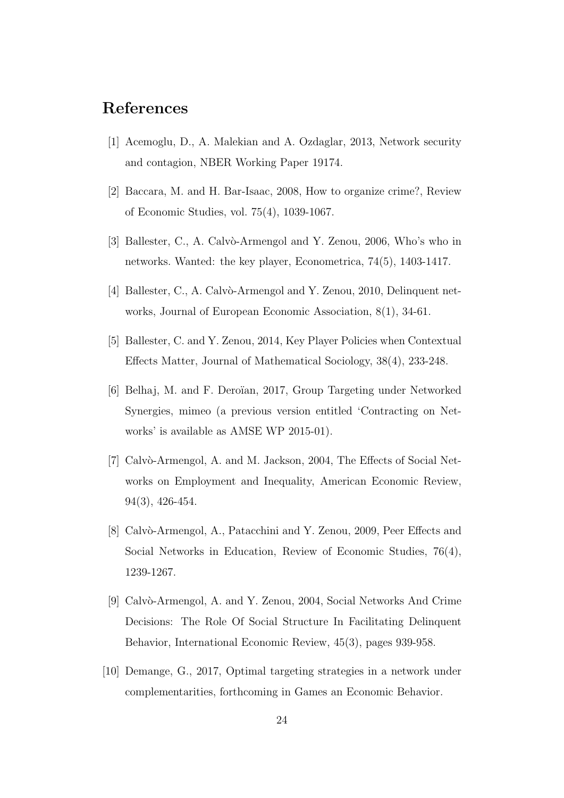## References

- [1] Acemoglu, D., A. Malekian and A. Ozdaglar, 2013, Network security and contagion, NBER Working Paper 19174.
- [2] Baccara, M. and H. Bar-Isaac, 2008, How to organize crime?, Review of Economic Studies, vol. 75(4), 1039-1067.
- [3] Ballester, C., A. Calvò-Armengol and Y. Zenou, 2006, Who's who in networks. Wanted: the key player, Econometrica, 74(5), 1403-1417.
- [4] Ballester, C., A. Calvò-Armengol and Y. Zenou, 2010, Delinquent networks, Journal of European Economic Association, 8(1), 34-61.
- [5] Ballester, C. and Y. Zenou, 2014, Key Player Policies when Contextual Effects Matter, Journal of Mathematical Sociology, 38(4), 233-248.
- [6] Belhaj, M. and F. Dero¨ıan, 2017, Group Targeting under Networked Synergies, mimeo (a previous version entitled 'Contracting on Networks' is available as AMSE WP 2015-01).
- [7] Calvò-Armengol, A. and M. Jackson, 2004, The Effects of Social Networks on Employment and Inequality, American Economic Review, 94(3), 426-454.
- [8] Calvò-Armengol, A., Patacchini and Y. Zenou, 2009, Peer Effects and Social Networks in Education, Review of Economic Studies, 76(4), 1239-1267.
- [9] Calvò-Armengol, A. and Y. Zenou, 2004, Social Networks And Crime Decisions: The Role Of Social Structure In Facilitating Delinquent Behavior, International Economic Review, 45(3), pages 939-958.
- [10] Demange, G., 2017, Optimal targeting strategies in a network under complementarities, forthcoming in Games an Economic Behavior.